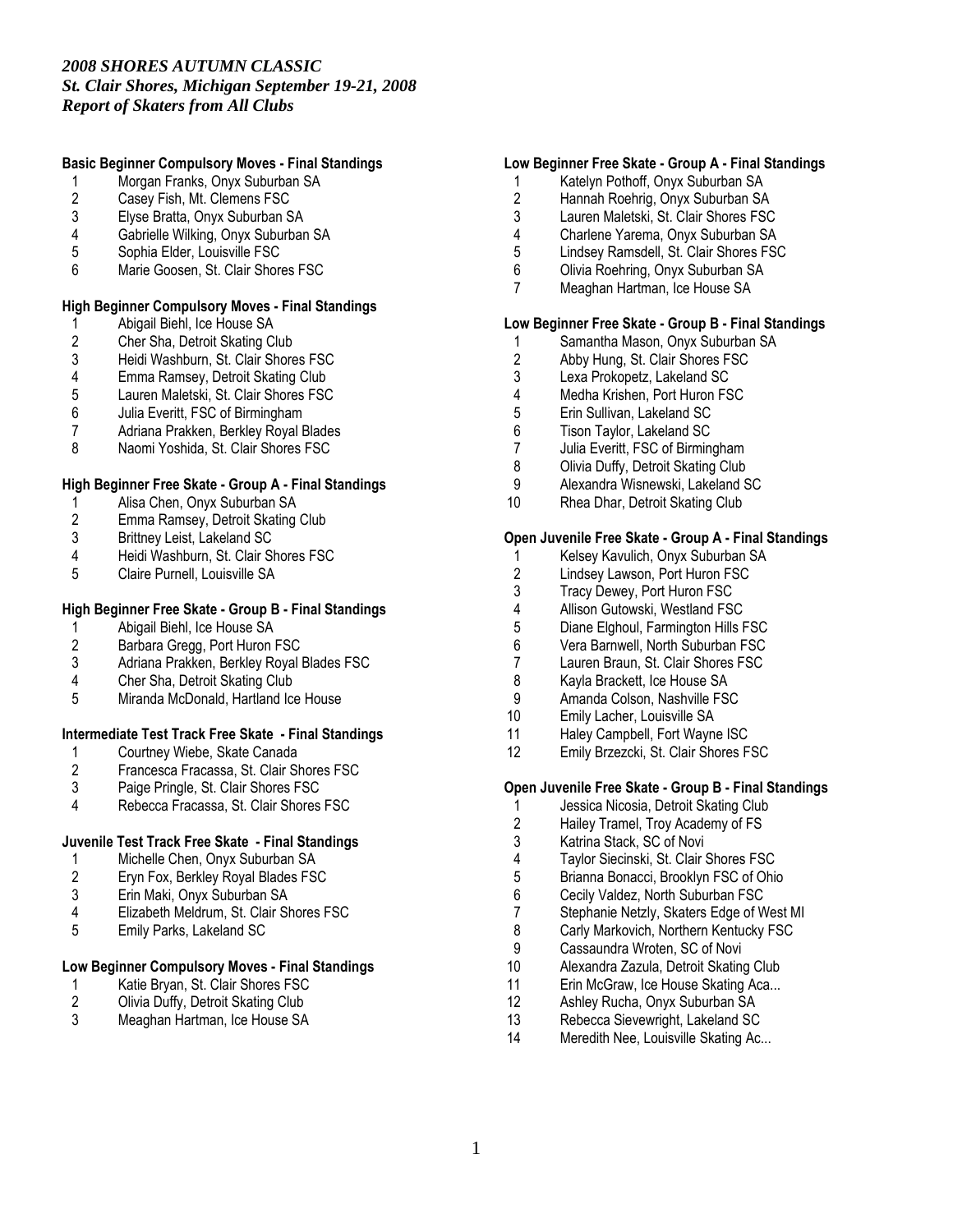#### Basic Beginner Compulsory Moves - Final Standings

- 1 Morgan Franks, Onyx Suburban SA<br>2 Casey Fish, Mt. Clemens FSC
- 2 Casey Fish, Mt. Clemens FSC<br>3 Elvse Bratta. Onvx Suburban S
- 3 Elyse Bratta, Onyx Suburban SA
- 4 Gabrielle Wilking, Onyx Suburban SA<br>5 Sophia Elder. Louisville FSC
- 5 Sophia Elder, Louisville FSC
- 6 Marie Goosen, St. Clair Shores FSC

#### High Beginner Compulsory Moves - Final Standings

- 1 Abigail Biehl, Ice House SA<br>2 Cher Sha, Detroit Skating Cl
- 2 Cher Sha, Detroit Skating Club<br>3 Heidi Washburn, St. Clair Shore
- 3 Heidi Washburn, St. Clair Shores FSC<br>4 Emma Ramsey, Detroit Skating Club
- 4 Emma Ramsey, Detroit Skating Club<br>5 Lauren Maletski, St. Clair Shores FSC
- 5 Lauren Maletski, St. Clair Shores FSC<br>6 Julia Everitt, FSC of Birmingham
- 6 Julia Everitt, FSC of Birmingham
- 7 Adriana Prakken, Berkley Royal Blades<br>8 Naomi Yoshida St Clair Shores FSC
- Naomi Yoshida, St. Clair Shores FSC

#### High Beginner Free Skate - Group A - Final Standings

- 1 Alisa Chen, Onyx Suburban SA<br>2 Emma Ramsey, Detroit Skating
- 2 Emma Ramsey, Detroit Skating Club<br>3 Brittney Leist, Lakeland SC
- 3 Brittney Leist, Lakeland SC<br>4 Heidi Washburn, St. Clair SI
- 4 Heidi Washburn, St. Clair Shores FSC<br>5 Claire Purnell. Louisville SA
- 5 Claire Purnell, Louisville SA

# High Beginner Free Skate - Group B - Final Standings

- 1 Abigail Biehl, Ice House SA<br>2 Barbara Gregg, Port Huron I
- 2 Barbara Gregg, Port Huron FSC<br>3 Adriana Prakken, Berkley Royal
- 3 Adriana Prakken, Berkley Royal Blades FSC<br>4 Cher Sha, Detroit Skating Club
- 4 Cher Sha, Detroit Skating Club<br>5 Miranda McDonald, Hartland Ice
- 5 Miranda McDonald, Hartland Ice House

# Intermediate Test Track Free Skate - Final Standings<br>1 Courtney Wiebe. Skate Canada

- 1 Courtney Wiebe, Skate Canada<br>2 Francesca Fracassa, St. Clair St
- 2 Francesca Fracassa, St. Clair Shores FSC<br>3 Paige Pringle, St. Clair Shores FSC
- Paige Pringle, St. Clair Shores FSC
- 4 Rebecca Fracassa, St. Clair Shores FSC

#### Juvenile Test Track Free Skate - Final Standings

- 1 Michelle Chen, Onyx Suburban SA<br>2 Eryn Fox, Berkley Royal Blades FSC
- 2 Eryn Fox, Berkley Royal Blades FSC<br>3 Erin Maki. Onvx Suburban SA
- 3 Erin Maki, Onyx Suburban SA
- 4 Elizabeth Meldrum, St. Clair Shores FSC<br>5 Fmily Parks Lakeland SC
- 5 Emily Parks, Lakeland SC

# Low Beginner Compulsory Moves - Final Standings

- 1 Katie Bryan, St. Clair Shores FSC<br>2 Olivia Duffy, Detroit Skating Club
- 2 Olivia Duffy, Detroit Skating Club<br>3 Meaghan Hartman, Ice House SA
- Meaghan Hartman, Ice House SA

#### Low Beginner Free Skate - Group A - Final Standings

- 1 Katelyn Pothoff, Onyx Suburban SA
- 2 Hannah Roehrig, Onyx Suburban SA<br>3 Lauren Maletski, St. Clair Shores FSC
- Lauren Maletski, St. Clair Shores FSC
- 4 Charlene Yarema, Onyx Suburban SA<br>5 Lindsev Ramsdell, St. Clair Shores FS
- 5 Lindsey Ramsdell, St. Clair Shores FSC<br>6 Olivia Roehring. Onvx Suburban SA
- 6 Olivia Roehring, Onyx Suburban SA
- 7 Meaghan Hartman, Ice House SA

#### Low Beginner Free Skate - Group B - Final Standings

- 1 Samantha Mason, Onyx Suburban SA<br>2 Abby Hung, St. Clair Shores FSC
- 2 Abby Hung, St. Clair Shores FSC<br>3 Lexa Prokopetz. Lakeland SC
- 3 Lexa Prokopetz, Lakeland SC<br>4 Medha Krishen. Port Huron FS
- 4 Medha Krishen, Port Huron FSC<br>5 Erin Sullivan, Lakeland SC
- 5 Erin Sullivan, Lakeland SC
- 6 Tison Taylor, Lakeland SC
- 7 Julia Everitt, FSC of Birmingham<br>8 Olivia Duffy, Detroit Skating Club
- **Olivia Duffy, Detroit Skating Club**
- 9 Alexandra Wisnewski, Lakeland SC
- 10 Rhea Dhar, Detroit Skating Club

#### Open Juvenile Free Skate - Group A - Final Standings

- 1 Kelsey Kavulich, Onyx Suburban SA<br>2 Lindsey Lawson, Port Huron FSC
- 2 Lindsey Lawson, Port Huron FSC<br>3 Tracy Dewey, Port Huron FSC
- 3 Tracy Dewey, Port Huron FSC<br>4 Allison Gutowski. Westland FS
- 4 Allison Gutowski, Westland FSC<br>5 Diane Elahoul. Farminaton Hills F
- 5 Diane Elghoul, Farmington Hills FSC
- 6 Vera Barnwell, North Suburban FSC
- 7 Lauren Braun, St. Clair Shores FSC<br>8 Kavla Brackett. Ice House SA
- 8 Kayla Brackett, Ice House SA
- 9 Amanda Colson, Nashville FSC
- 10 Emily Lacher, Louisville SA
- 11 Haley Campbell, Fort Wayne ISC<br>12 Emily Brzezcki, St. Clair Shores F
- Emily Brzezcki, St. Clair Shores FSC

#### Open Juvenile Free Skate - Group B - Final Standings

- 1 Jessica Nicosia, Detroit Skating Club<br>2 Hailey Tramel, Troy Academy of FS
- 2 Hailey Tramel, Troy Academy of FS<br>3 Katrina Stack. SC of Novi
- Katrina Stack, SC of Novi
- 4 Taylor Siecinski, St. Clair Shores FSC
- 5 Brianna Bonacci, Brooklyn FSC of Ohio<br>6 Cecily Valdez. North Suburban FSC
- 6 Cecily Valdez, North Suburban FSC
- 7 Stephanie Netzly, Skaters Edge of West MI<br>8 Carly Markovich. Northern Kentucky FSC
- 8 Carly Markovich, Northern Kentucky FSC<br>9 Cassaundra Wroten, SC of Novi
- 9 Cassaundra Wroten, SC of Novi<br>10 Alexandra Zazula, Detroit Skatin
- Alexandra Zazula, Detroit Skating Club
- 11 Erin McGraw, Ice House Skating Aca...
- 12 Ashley Rucha, Onyx Suburban SA
- 13 Rebecca Sievewright, Lakeland SC
- 14 Meredith Nee, Louisville Skating Ac...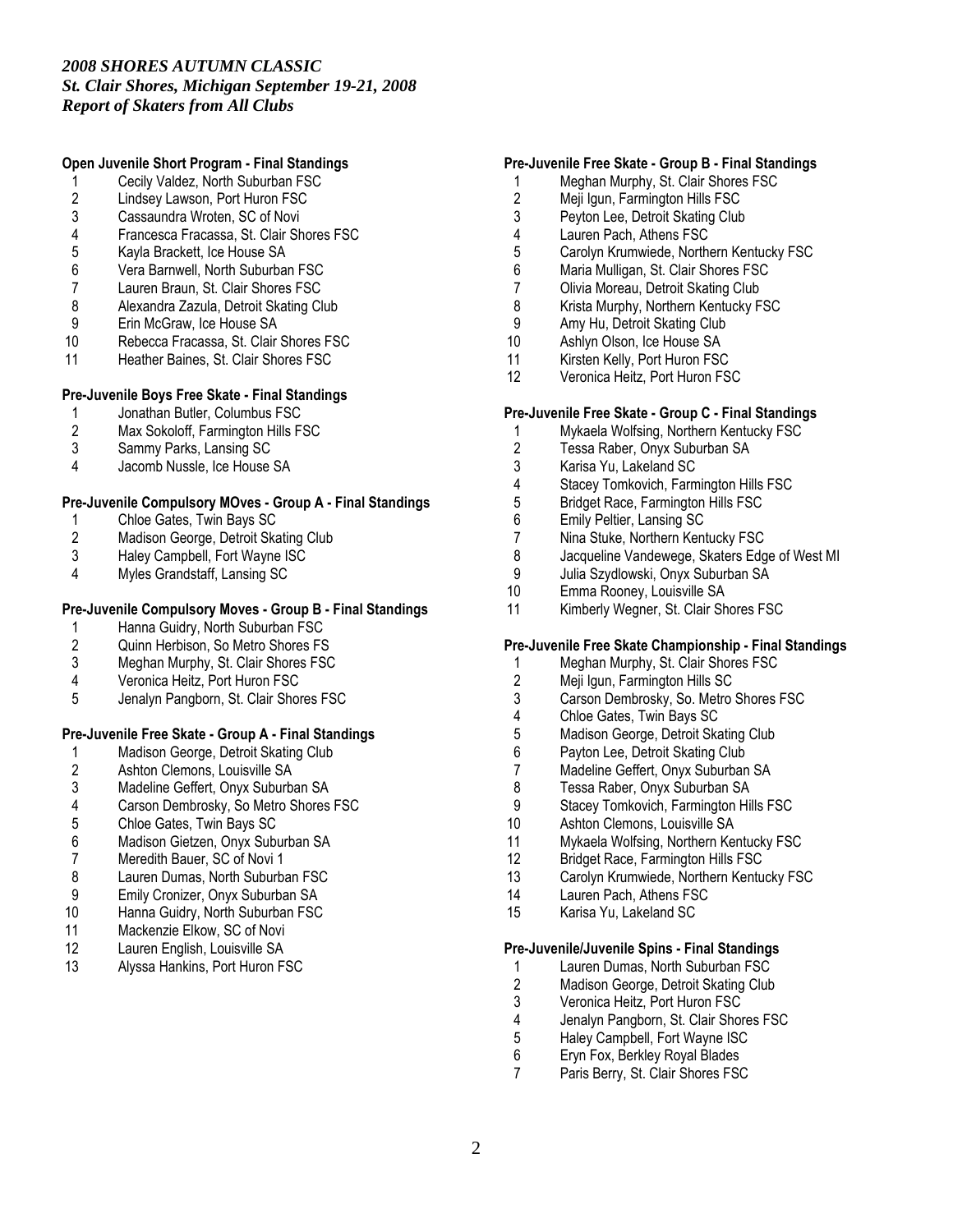#### Open Juvenile Short Program - Final Standings

- 1 Cecily Valdez, North Suburban FSC<br>2 Lindsey Lawson, Port Huron FSC
- 2 Lindsey Lawson, Port Huron FSC<br>3 Cassaundra Wroten. SC of Novi
- 3 Cassaundra Wroten, SC of Novi<br>4 Francesca Fracassa. St. Clair Sh
- 4 Francesca Fracassa, St. Clair Shores FSC
- 5 Kayla Brackett, Ice House SA<br>6 Vera Barnwell, North Suburbar
- 6 Vera Barnwell, North Suburban FSC<br>7 Lauren Braun, St. Clair Shores FSC
- Lauren Braun, St. Clair Shores FSC
- 8 Alexandra Zazula, Detroit Skating Club<br>9 Erin McGraw, Ice House SA
- 9 Erin McGraw, Ice House SA<br>10 Rebecca Fracassa. St. Clair
- Rebecca Fracassa, St. Clair Shores FSC
- 11 Heather Baines, St. Clair Shores FSC

#### Pre-Juvenile Boys Free Skate - Final Standings

- 1 Jonathan Butler, Columbus FSC<br>2 Max Sokoloff. Farmington Hills F.
- Max Sokoloff, Farmington Hills FSC
- 3 Sammy Parks, Lansing SC<br>4 Jacomb Nussle Ice House
- Jacomb Nussle, Ice House SA

#### Pre-Juvenile Compulsory MOves - Group A - Final Standings

- 1 Chloe Gates, Twin Bays SC<br>2 Madison George. Detroit Ska
- 2 Madison George, Detroit Skating Club<br>3 Halev Campbell. Fort Wavne ISC
- 3 Haley Campbell, Fort Wayne ISC<br>4 Myles Grandstaff Lansing SC
- Myles Grandstaff, Lansing SC

# Pre-Juvenile Compulsory Moves - Group B - Final Standings

- 1 Hanna Guidry, North Suburban FSC<br>2 Quinn Herbison, So Metro Shores FS
- 2 Quinn Herbison, So Metro Shores FS<br>3 Meahan Murphy. St. Clair Shores FSC
- 3 Meghan Murphy, St. Clair Shores FSC<br>4 Veronica Heitz. Port Huron FSC
- 4 Veronica Heitz, Port Huron FSC<br>5 Jenalyn Pangborn, St. Clair Shor
- 5 Jenalyn Pangborn, St. Clair Shores FSC

#### Pre-Juvenile Free Skate - Group A - Final Standings

- 1 Madison George, Detroit Skating Club<br>2 Ashton Clemons, Louisville SA
- 
- 2 Ashton Clemons, Louisville SA<br>3 Madeline Geffert, Onyx Suburba 3 Madeline Geffert, Onyx Suburban SA<br>4 Carson Dembrosky, So Metro Shores
- 4 Carson Dembrosky, So Metro Shores FSC<br>5 Chloe Gates, Twin Bays SC
- 
- 5 Chloe Gates, Twin Bays SC<br>6 Madison Gietzen. Onvx Subu
- 6 Madison Gietzen, Onyx Suburban SA
- 7 Meredith Bauer, SC of Novi 1<br>8 Lauren Dumas, North Suburba
- 8 Lauren Dumas, North Suburban FSC<br>9 Emily Cronizer. Onvx Suburban SA 9 Emily Cronizer, Onyx Suburban SA
- 10 Hanna Guidry, North Suburban FSC<br>11 Mackenzie Elkow. SC of Novi
- 
- 11 Mackenzie Elkow, SC of Novi<br>12 Lauren English, Louisville SA Lauren English, Louisville SA
- 13 Alyssa Hankins, Port Huron FSC

#### Pre-Juvenile Free Skate - Group B - Final Standings

- 1 Meghan Murphy, St. Clair Shores FSC
- 2 Meji Igun, Farmington Hills FSC<br>3 Pevton Lee. Detroit Skating Club
- Peyton Lee, Detroit Skating Club
- 4 Lauren Pach, Athens FSC<br>5 Carolyn Krumwiede. Northe
- 5 Carolyn Krumwiede, Northern Kentucky FSC<br>6 Maria Mulligan, St. Clair Shores FSC
- Maria Mulligan, St. Clair Shores FSC
- 7 Olivia Moreau, Detroit Skating Club
- 8 Krista Murphy, Northern Kentucky FSC<br>9 Amy Hu. Detroit Skating Club
- 9 Amy Hu, Detroit Skating Club<br>10 Ashlyn Olson, Ice House SA
- 10 Ashlyn Olson, Ice House SA<br>11 Kirsten Kelly, Port Huron FSC
- Kirsten Kelly, Port Huron FSC
- 12 Veronica Heitz, Port Huron FSC

### Pre-Juvenile Free Skate - Group C - Final Standings

- 1 Mykaela Wolfsing, Northern Kentucky FSC<br>2 Tessa Raber Onyx Suburban SA
- 2 Tessa Raber, Onyx Suburban SA<br>3 Karisa Yu, Lakeland SC
- 3 Karisa Yu, Lakeland SC
- 4 Stacey Tomkovich, Farmington Hills FSC
- 5 Bridget Race, Farmington Hills FSC<br>6 Emily Peltier. Lansing SC
- 6 Emily Peltier, Lansing SC
- 7 Nina Stuke, Northern Kentucky FSC<br>8 Jacqueline Vandewege, Skaters Edg
- 8 Jacqueline Vandewege, Skaters Edge of West MI<br>9 Julia Szydlowski Onyx Suburban SA
- Julia Szydlowski, Onyx Suburban SA
- 10 Emma Rooney, Louisville SA
- 11 Kimberly Wegner, St. Clair Shores FSC

#### Pre-Juvenile Free Skate Championship - Final Standings

- 1 Meghan Murphy, St. Clair Shores FSC<br>2 Meii Igun. Farmington Hills SC
- 2 Meji Igun, Farmington Hills SC<br>3 Carson Dembrosky, So, Metro
- Carson Dembrosky, So. Metro Shores FSC
- 4 Chloe Gates, Twin Bays SC
- 5 Madison George, Detroit Skating Club<br>6 Pavton Lee, Detroit Skating Club
- 6 Payton Lee, Detroit Skating Club<br>7 Madeline Geffert, Onyx Suburbar
- 7 Madeline Geffert, Onyx Suburban SA<br>8 Tessa Raber. Onvx Suburban SA
- 8 Tessa Raber, Onyx Suburban SA<br>9 Stacey Tomkovich. Farmington Hil
- 9 Stacey Tomkovich, Farmington Hills FSC<br>10 Ashton Clemons, Louisville SA
- Ashton Clemons, Louisville SA
- 11 Mykaela Wolfsing, Northern Kentucky FSC
- 12 Bridget Race, Farmington Hills FSC<br>13 Carolyn Krumwiede, Northern Kentu
- Carolyn Krumwiede, Northern Kentucky FSC
- 14 Lauren Pach, Athens FSC
- 15 Karisa Yu, Lakeland SC

#### Pre-Juvenile/Juvenile Spins - Final Standings

- 1 Lauren Dumas, North Suburban FSC<br>2 Madison George, Detroit Skating Club
- 2 Madison George, Detroit Skating Club<br>3 Veronica Heitz, Port Huron FSC
- 3 Veronica Heitz, Port Huron FSC<br>4 Jenalyn Pangborn, St. Clair Shor
- 4 Jenalyn Pangborn, St. Clair Shores FSC<br>5 Halev Campbell. Fort Wavne ISC
- 5 Haley Campbell, Fort Wayne ISC<br>6 Ervn Fox. Berkley Roval Blades
- 6 Eryn Fox, Berkley Royal Blades
- Paris Berry, St. Clair Shores FSC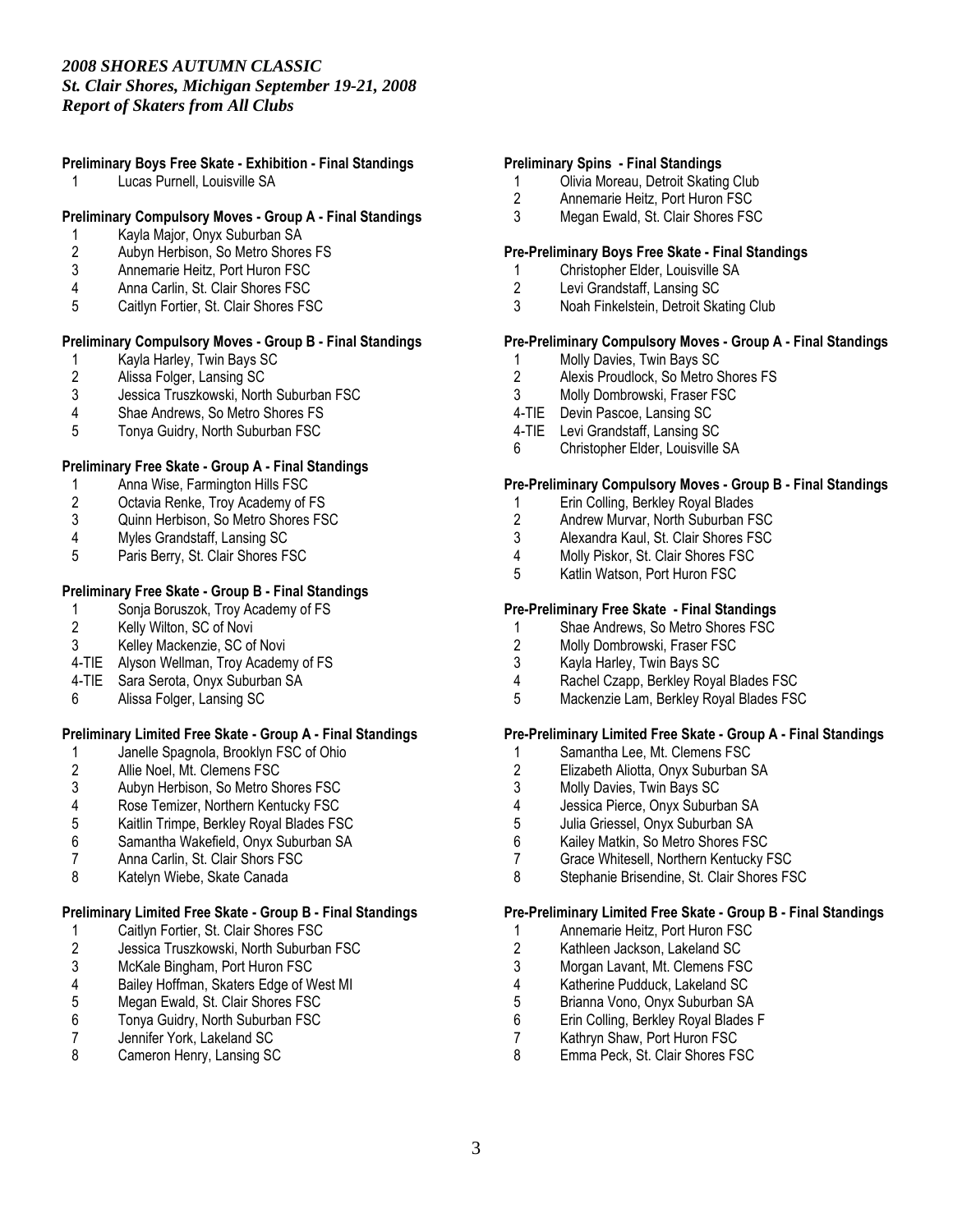# Preliminary Boys Free Skate - Exhibition - Final Standings

1 Lucas Purnell, Louisville SA

#### Preliminary Compulsory Moves - Group A - Final Standings

- 1 Kayla Major, Onyx Suburban SA<br>2 Aubyn Herbison, So Metro Shore
- 2 Aubyn Herbison, So Metro Shores FS<br>3 Annemarie Heitz. Port Huron FSC
- Annemarie Heitz, Port Huron FSC
- 4 Anna Carlin, St. Clair Shores FSC
- 5 Caitlyn Fortier, St. Clair Shores FSC

#### Preliminary Compulsory Moves - Group B - Final Standings

- 1 Kayla Harley, Twin Bays SC<br>2 Alissa Folger, Lansing SC
- 2 Alissa Folger, Lansing SC<br>3 Jessica Truszkowski, Nortl
- 3 Jessica Truszkowski, North Suburban FSC
- 4 Shae Andrews, So Metro Shores FS<br>5 Tonya Guidry. North Suburban FSC
- 5 Tonya Guidry, North Suburban FSC

#### Preliminary Free Skate - Group A - Final Standings

- 1 Anna Wise, Farmington Hills FSC<br>2 Octavia Renke, Troy Academy of
- 2 Octavia Renke, Troy Academy of FS<br>3 Quinn Herbison, So Metro Shores FS
- 3 Quinn Herbison, So Metro Shores FSC<br>4 Myles Grandstaff. Lansing SC
- 4 Myles Grandstaff, Lansing SC<br>5 Paris Berry, St. Clair Shores F
- Paris Berry, St. Clair Shores FSC

#### Preliminary Free Skate - Group B - Final Standings

- 1 Sonja Boruszok, Troy Academy of FS<br>2 Kelly Wilton, SC of Novi
- Kelly Wilton, SC of Novi
- 3 Kelley Mackenzie, SC of Novi
- 4-TIE Alyson Wellman, Troy Academy of FS
- 4-TIE Sara Serota, Onyx Suburban SA
- 6 Alissa Folger, Lansing SC

#### Preliminary Limited Free Skate - Group A - Final Standings

- 1 Janelle Spagnola, Brooklyn FSC of Ohio<br>2 Allie Noel, Mt. Clemens FSC
- 
- 2 Allie Noel, Mt. Clemens FSC<br>3 Aubyn Herbison, So Metro SI 3 Aubyn Herbison, So Metro Shores FSC<br>4 Rose Temizer. Northern Kentucky FSC
- 
- 4 Rose Temizer, Northern Kentucky FSC<br>5 Kaitlin Trimpe, Berkley Royal Blades FS 5 Kaitlin Trimpe, Berkley Royal Blades FSC
- 6 Samantha Wakefield, Onyx Suburban SA
- 7 Anna Carlin, St. Clair Shors FSC<br>8 Katelyn Wiebe. Skate Canada
- Katelyn Wiebe, Skate Canada

#### Preliminary Limited Free Skate - Group B - Final Standings

- 1 Caitlyn Fortier, St. Clair Shores FSC<br>2 Jessica Truszkowski, North Suburba
- 2 Jessica Truszkowski, North Suburban FSC<br>3 McKale Bingham, Port Huron FSC
- 3 McKale Bingham, Port Huron FSC<br>4 Bailey Hoffman, Skaters Edge of W
- 4 Bailey Hoffman, Skaters Edge of West MI<br>5 Megan Ewald, St. Clair Shores FSC
- 5 Megan Ewald, St. Clair Shores FSC<br>6 Tonya Guidry, North Suburban FSC
- 6 Tonya Guidry, North Suburban FSC
- 7 Jennifer York, Lakeland SC<br>8 Cameron Henry, Lansing SC
- Cameron Henry, Lansing SC

#### Preliminary Spins - Final Standings

- 1 Olivia Moreau, Detroit Skating Club<br>2 Annemarie Heitz. Port Huron FSC
- 2 Annemarie Heitz, Port Huron FSC<br>3 Megan Ewald. St. Clair Shores FS
- Megan Ewald, St. Clair Shores FSC

#### Pre-Preliminary Boys Free Skate - Final Standings

- 1 Christopher Elder, Louisville SA<br>2 Levi Grandstaff. Lansing SC
- Levi Grandstaff, Lansing SC
- 3 Noah Finkelstein, Detroit Skating Club

#### Pre-Preliminary Compulsory Moves - Group A - Final Standings

- 1 Molly Davies, Twin Bays SC<br>2 Alexis Proudlock. So Metro S
- Alexis Proudlock, So Metro Shores FS
- 3 Molly Dombrowski, Fraser FSC
- 4-TIE Devin Pascoe, Lansing SC
- 4-TIE Levi Grandstaff, Lansing SC
- 6 Christopher Elder, Louisville SA

#### Pre-Preliminary Compulsory Moves - Group B - Final Standings

- 1 Erin Colling, Berkley Royal Blades<br>2 Andrew Murvar North Suburban F.
- 2 Andrew Murvar, North Suburban FSC<br>3 Alexandra Kaul. St. Clair Shores FSC
- 3 Alexandra Kaul, St. Clair Shores FSC<br>4 Molly Piskor, St. Clair Shores FSC
- 4 Molly Piskor, St. Clair Shores FSC<br>5 Katlin Watson. Port Huron FSC
- 5 Katlin Watson, Port Huron FSC

#### Pre-Preliminary Free Skate - Final Standings

- 1 Shae Andrews, So Metro Shores FSC<br>2 Molly Dombrowski. Fraser FSC
- Molly Dombrowski, Fraser FSC
- 3 Kayla Harley, Twin Bays SC
- 4 Rachel Czapp, Berkley Royal Blades FSC
- 5 Mackenzie Lam, Berkley Royal Blades FSC

#### Pre-Preliminary Limited Free Skate - Group A - Final Standings

- 1 Samantha Lee, Mt. Clemens FSC<br>2 Elizabeth Aliotta, Onyx Suburban 9
- 2 Elizabeth Aliotta, Onyx Suburban SA<br>3 Molly Davies. Twin Bays SC
- 3 Molly Davies, Twin Bays SC
- 4 Jessica Pierce, Onyx Suburban SA
- 5 Julia Griessel, Onyx Suburban SA<br>6 Kailev Matkin, So Metro Shores FS
- 6 Kailey Matkin, So Metro Shores FSC
- 7 Grace Whitesell, Northern Kentucky FSC<br>8 Stephanie Brisendine St Clair Shores FS
- Stephanie Brisendine, St. Clair Shores FSC

#### Pre-Preliminary Limited Free Skate - Group B - Final Standings

- 1 Annemarie Heitz, Port Huron FSC<br>2 Kathleen Jackson, Lakeland SC
- 2 Kathleen Jackson, Lakeland SC<br>3 Morgan Lavant. Mt. Clemens FS
- 3 Morgan Lavant, Mt. Clemens FSC<br>4 Katherine Pudduck. Lakeland SC
- 4 Katherine Pudduck, Lakeland SC<br>5 Brianna Vono, Onyx Suburban SA
- 5 Brianna Vono, Onyx Suburban SA
- 6 Erin Colling, Berkley Royal Blades F<br>7 Kathrvn Shaw, Port Huron FSC
- 7 Kathryn Shaw, Port Huron FSC<br>8 Emma Peck. St. Clair Shores FS
- Emma Peck, St. Clair Shores FSC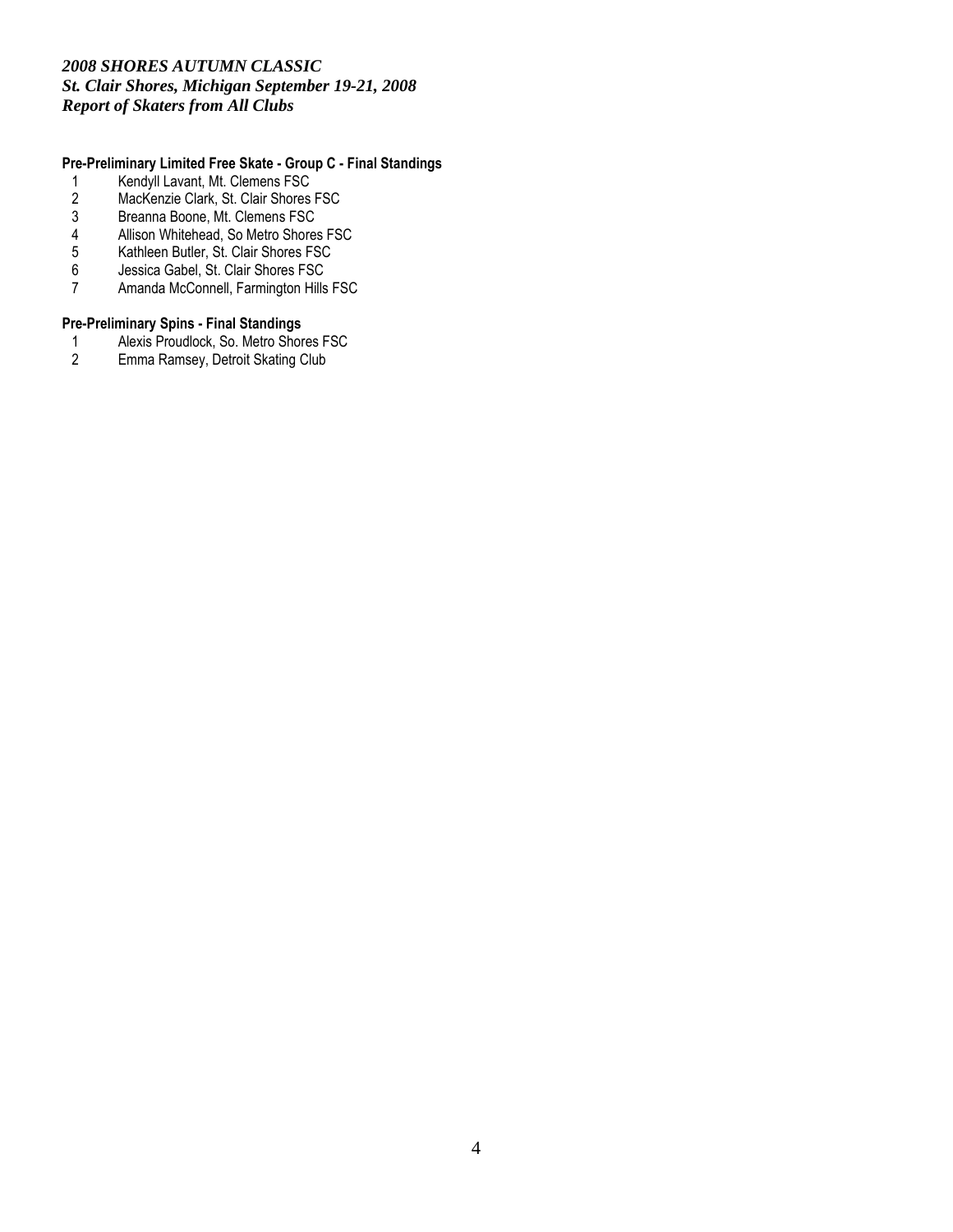### Pre-Preliminary Limited Free Skate - Group C - Final Standings

- 1 Kendyll Lavant, Mt. Clemens FSC<br>2 MacKenzie Clark, St. Clair Shores
- 2 MacKenzie Clark, St. Clair Shores FSC<br>3 Breanna Boone, Mt. Clemens FSC
- 
- 3 Breanna Boone, Mt. Clemens FSC 4 Allison Whitehead, So Metro Shores FSC<br>5 Kathleen Butler, St. Clair Shores FSC
- 5 Kathleen Butler, St. Clair Shores FSC
- 6 Jessica Gabel, St. Clair Shores FSC
- 7 Amanda McConnell, Farmington Hills FSC

# **Pre-Preliminary Spins - Final Standings**<br>1 Alexis Proudlock, So. Metro Shor

- 1 Alexis Proudlock, So. Metro Shores FSC<br>2 Emma Ramsey, Detroit Skating Club
- Emma Ramsey, Detroit Skating Club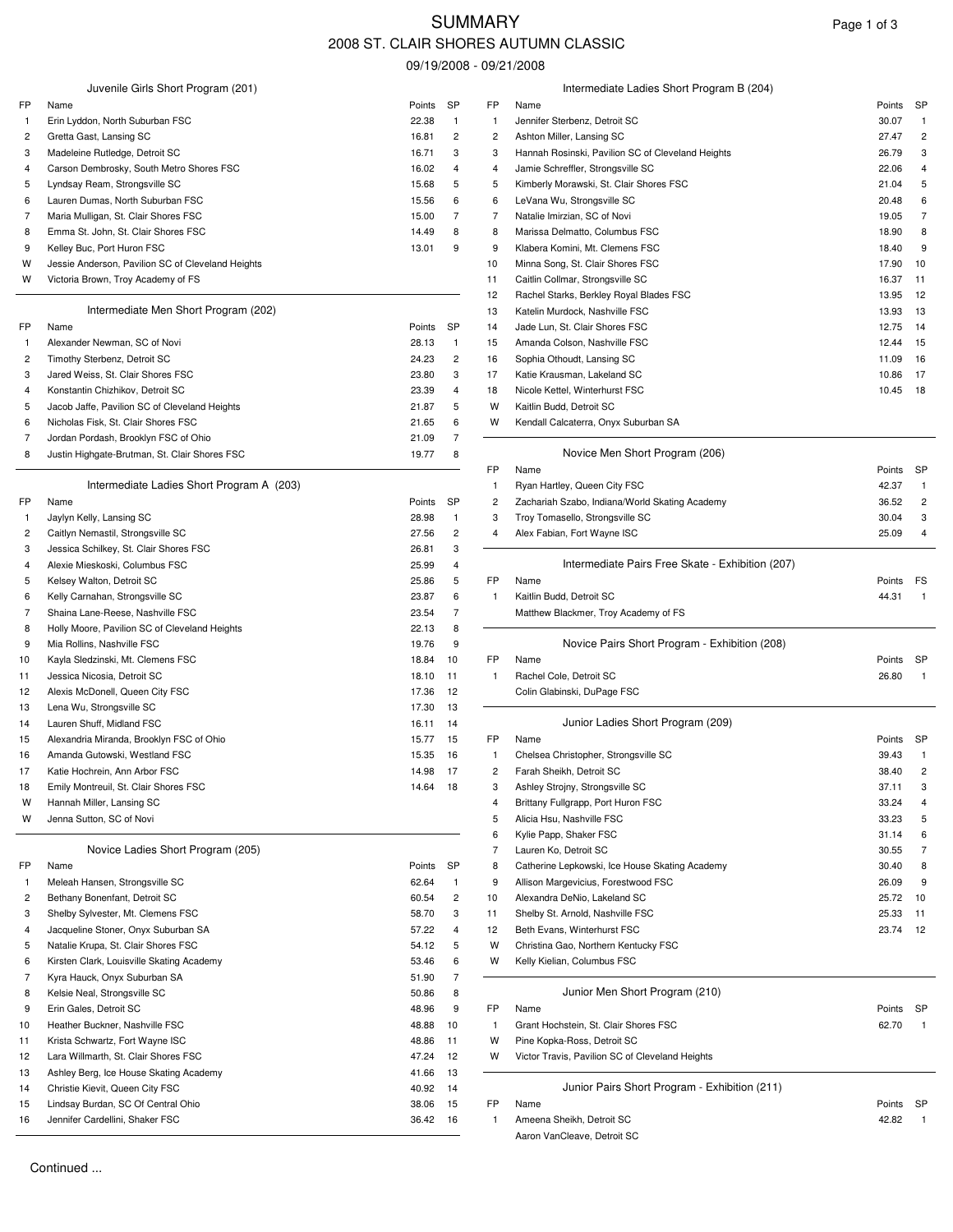# SUMMARY Page 1 of 3 2008 ST. CLAIR SHORES AUTUMN CLASSIC

09/19/2008 - 09/21/2008

|              |                                                                             |                |                              |              | ບສ⊢⊺ສ/∠ບບ໐ - ບສ/∠ ⊓∕∠ບບ໐                                         |                |                         |
|--------------|-----------------------------------------------------------------------------|----------------|------------------------------|--------------|------------------------------------------------------------------|----------------|-------------------------|
|              | Juvenile Girls Short Program (201)                                          |                |                              |              | Intermediate Ladies Short Program B (204)                        |                |                         |
| FP           | Name                                                                        | Points         | <b>SP</b>                    | FP           | Name                                                             | Points         | <b>SP</b>               |
| -1           | Erin Lyddon, North Suburban FSC                                             | 22.38          | $\mathbf{1}$                 | -1           | Jennifer Sterbenz, Detroit SC                                    | 30.07          | -1                      |
| 2            | Gretta Gast, Lansing SC                                                     | 16.81          | $\overline{c}$               | 2            | Ashton Miller, Lansing SC                                        | 27.47          | $\overline{c}$          |
| 3            | Madeleine Rutledge, Detroit SC                                              | 16.71          | 3                            | 3            | Hannah Rosinski, Pavilion SC of Cleveland Heights                | 26.79          | 3                       |
| 4            | Carson Dembrosky, South Metro Shores FSC                                    | 16.02          | 4                            | 4            | Jamie Schreffler, Strongsville SC                                | 22.06          | 4                       |
| 5            | Lyndsay Ream, Strongsville SC                                               | 15.68          | 5                            | 5            | Kimberly Morawski, St. Clair Shores FSC                          | 21.04          | 5                       |
| 6            | Lauren Dumas, North Suburban FSC                                            | 15.56          | 6                            | 6            | LeVana Wu, Strongsville SC                                       | 20.48          | 6                       |
| 7<br>8       | Maria Mulligan, St. Clair Shores FSC<br>Emma St. John, St. Clair Shores FSC | 15.00<br>14.49 | 7<br>8                       | 7<br>8       | Natalie Imirzian, SC of Novi<br>Marissa Delmatto, Columbus FSC   | 19.05<br>18.90 | 7<br>8                  |
| 9            | Kelley Buc, Port Huron FSC                                                  | 13.01          | 9                            | 9            | Klabera Komini, Mt. Clemens FSC                                  | 18.40          | 9                       |
| w            | Jessie Anderson, Pavilion SC of Cleveland Heights                           |                |                              | 10           | Minna Song, St. Clair Shores FSC                                 | 17.90          | 10                      |
| w            | Victoria Brown, Troy Academy of FS                                          |                |                              | 11           | Caitlin Collmar, Strongsville SC                                 | 16.37          | 11                      |
|              |                                                                             |                |                              | 12           | Rachel Starks, Berkley Royal Blades FSC                          | 13.95          | 12                      |
|              | Intermediate Men Short Program (202)                                        |                |                              | 13           | Katelin Murdock, Nashville FSC                                   | 13.93          | 13                      |
| FP           | Name                                                                        | Points         | SP                           | 14           | Jade Lun, St. Clair Shores FSC                                   | 12.75          | 14                      |
| $\mathbf{1}$ | Alexander Newman, SC of Novi                                                | 28.13          | $\mathbf{1}$                 | 15           | Amanda Colson, Nashville FSC                                     | 12.44          | 15                      |
| 2            | Timothy Sterbenz, Detroit SC                                                | 24.23          | $\overline{c}$               | 16           | Sophia Othoudt, Lansing SC                                       | 11.09          | 16                      |
| 3            | Jared Weiss, St. Clair Shores FSC                                           | 23.80          | 3                            | 17           | Katie Krausman, Lakeland SC                                      | 10.86          | 17                      |
| 4            | Konstantin Chizhikov, Detroit SC                                            | 23.39          | 4                            | 18           | Nicole Kettel, Winterhurst FSC                                   | 10.45 18       |                         |
| 5            | Jacob Jaffe, Pavilion SC of Cleveland Heights                               | 21.87          | 5                            | W            | Kaitlin Budd, Detroit SC                                         |                |                         |
| 6            | Nicholas Fisk, St. Clair Shores FSC                                         | 21.65          | 6                            | W            | Kendall Calcaterra, Onyx Suburban SA                             |                |                         |
| 7            | Jordan Pordash, Brooklyn FSC of Ohio                                        | 21.09          | $\overline{7}$               |              |                                                                  |                |                         |
| 8            | Justin Highgate-Brutman, St. Clair Shores FSC                               | 19.77          | 8                            |              | Novice Men Short Program (206)                                   |                |                         |
|              |                                                                             |                |                              | FP           | Name                                                             | Points         | <b>SP</b>               |
|              | Intermediate Ladies Short Program A (203)                                   |                |                              | 1            | Ryan Hartley, Queen City FSC                                     | 42.37          |                         |
| FP           | Name                                                                        | Points         | <b>SP</b>                    | 2            | Zachariah Szabo, Indiana/World Skating Academy                   | 36.52          | $\overline{c}$          |
| -1           | Jaylyn Kelly, Lansing SC                                                    | 28.98          | $\mathbf{1}$                 | 3            | Troy Tomasello, Strongsville SC                                  | 30.04          | 3                       |
| 2            | Caitlyn Nemastil, Strongsville SC                                           | 27.56          | $\overline{c}$               | 4            | Alex Fabian, Fort Wayne ISC                                      | 25.09          | 4                       |
| 3<br>4       | Jessica Schilkey, St. Clair Shores FSC<br>Alexie Mieskoski, Columbus FSC    | 26.81<br>25.99 | 3<br>4                       |              | Intermediate Pairs Free Skate - Exhibition (207)                 |                |                         |
| 5            | Kelsey Walton, Detroit SC                                                   | 25.86          | 5                            | FP           | Name                                                             | Points FS      |                         |
| 6            | Kelly Carnahan, Strongsville SC                                             | 23.87          | 6                            | -1           | Kaitlin Budd, Detroit SC                                         | 44.31          | $\overline{1}$          |
| 7            | Shaina Lane-Reese, Nashville FSC                                            | 23.54          | 7                            |              | Matthew Blackmer, Troy Academy of FS                             |                |                         |
| 8            | Holly Moore, Pavilion SC of Cleveland Heights                               | 22.13          | 8                            |              |                                                                  |                |                         |
| 9            | Mia Rollins, Nashville FSC                                                  | 19.76          | 9                            |              | Novice Pairs Short Program - Exhibition (208)                    |                |                         |
| 10           | Kayla Sledzinski, Mt. Clemens FSC                                           | 18.84          | 10                           | FP           | Name                                                             | Points         | SP                      |
| 11           | Jessica Nicosia, Detroit SC                                                 | 18.10          | 11                           | $\mathbf{1}$ | Rachel Cole, Detroit SC                                          | 26.80          | $\overline{1}$          |
| 12           | Alexis McDonell, Queen City FSC                                             | 17.36          | 12                           |              | Colin Glabinski, DuPage FSC                                      |                |                         |
| 13           | Lena Wu, Strongsville SC                                                    | 17.30          | 13                           |              |                                                                  |                |                         |
| 14           | Lauren Shuff, Midland FSC                                                   | 16.11          | 14                           |              | Junior Ladies Short Program (209)                                |                |                         |
| 15           | Alexandria Miranda, Brooklyn FSC of Ohio                                    | 15.77          | 15                           | FP           | Name                                                             | Points SP      |                         |
| 16           | Amanda Gutowski, Westland FSC                                               | 15.35          | 16                           | 1            | Chelsea Christopher, Strongsville SC                             | 39.43          | $\overline{1}$          |
| 17           | Katie Hochrein, Ann Arbor FSC                                               | 14.98          | 17                           | 2            | Farah Sheikh, Detroit SC                                         | 38.40          | $\overline{\mathbf{c}}$ |
| 18           | Emily Montreuil, St. Clair Shores FSC                                       | 14.64          | 18                           | 3            | Ashley Strojny, Strongsville SC                                  | 37.11          | 3                       |
| W            | Hannah Miller, Lansing SC                                                   |                |                              | 4            | Brittany Fullgrapp, Port Huron FSC                               | 33.24          |                         |
| W            | Jenna Sutton, SC of Novi                                                    |                |                              | 5            | Alicia Hsu, Nashville FSC                                        | 33.23          | 5                       |
|              |                                                                             |                |                              | 6            | Kylie Papp, Shaker FSC                                           | 31.14          | 6                       |
|              | Novice Ladies Short Program (205)                                           |                |                              | 7            | Lauren Ko, Detroit SC                                            | 30.55          | 7                       |
| FP           | Name                                                                        | Points         | SP                           | 8            | Catherine Lepkowski, Ice House Skating Academy                   | 30.40          | 8                       |
| -1           | Meleah Hansen, Strongsville SC                                              | 62.64          | 1                            | 9            | Allison Margevicius, Forestwood FSC                              | 26.09          | 9                       |
| 2<br>3       | Bethany Bonenfant, Detroit SC<br>Shelby Sylvester, Mt. Clemens FSC          | 60.54<br>58.70 | $\overline{\mathbf{c}}$<br>3 | 10<br>11     | Alexandra DeNio, Lakeland SC<br>Shelby St. Arnold, Nashville FSC | 25.72<br>25.33 | 10<br>11                |
| 4            | Jacqueline Stoner, Onyx Suburban SA                                         | 57.22          | 4                            | 12           | Beth Evans, Winterhurst FSC                                      | 23.74          | 12                      |
| 5            | Natalie Krupa, St. Clair Shores FSC                                         | 54.12          | 5                            | W            | Christina Gao, Northern Kentucky FSC                             |                |                         |
| 6            | Kirsten Clark, Louisville Skating Academy                                   | 53.46          | 6                            | W            | Kelly Kielian, Columbus FSC                                      |                |                         |
| 7            | Kyra Hauck, Onyx Suburban SA                                                | 51.90          | $\overline{7}$               |              |                                                                  |                |                         |
| 8            | Kelsie Neal, Strongsville SC                                                | 50.86          | 8                            |              | Junior Men Short Program (210)                                   |                |                         |
| 9            | Erin Gales, Detroit SC                                                      | 48.96          | 9                            | FP           | Name                                                             | Points SP      |                         |
| 10           | Heather Buckner, Nashville FSC                                              | 48.88          | 10                           | -1           | Grant Hochstein, St. Clair Shores FSC                            | 62.70          | $\overline{1}$          |
| 11           | Krista Schwartz, Fort Wayne ISC                                             | 48.86          | 11                           | W            | Pine Kopka-Ross, Detroit SC                                      |                |                         |
| 12           | Lara Willmarth, St. Clair Shores FSC                                        | 47.24          | 12                           | W            | Victor Travis, Pavilion SC of Cleveland Heights                  |                |                         |
| 13           | Ashley Berg, Ice House Skating Academy                                      | 41.66          | 13                           |              |                                                                  |                |                         |
| 14           | Christie Kievit, Queen City FSC                                             | 40.92          | 14                           |              | Junior Pairs Short Program - Exhibition (211)                    |                |                         |
| 15           | Lindsay Burdan, SC Of Central Ohio                                          | 38.06          | 15                           | FP           | Name                                                             | Points SP      |                         |
| 16           | Jennifer Cardellini, Shaker FSC                                             | 36.42 16       |                              | 1            | Ameena Sheikh, Detroit SC                                        | 42.82          |                         |

|                                                            |                |                |                         | 09/19/2008 - 09/21/2008                                    |                 |                |
|------------------------------------------------------------|----------------|----------------|-------------------------|------------------------------------------------------------|-----------------|----------------|
| Juvenile Girls Short Program (201)                         |                |                |                         | Intermediate Ladies Short Program B (204)                  |                 |                |
|                                                            | Points         | SP             | FP                      | Name                                                       | Points          | SP             |
| on, North Suburban FSC                                     | 22.38          | $\mathbf{1}$   | $\mathbf{1}$            | Jennifer Sterbenz, Detroit SC                              | 30.07           | $\mathbf{1}$   |
| เst, Lansing SC                                            | 16.81          | 2              | $\overline{c}$          | Ashton Miller, Lansing SC                                  | 27.47           | 2              |
| e Rutledge, Detroit SC                                     | 16.71          | 3              | 3                       | Hannah Rosinski, Pavilion SC of Cleveland Heights          | 26.79           | 3              |
| embrosky, South Metro Shores FSC                           | 16.02          | 4              | 4                       | Jamie Schreffler, Strongsville SC                          | 22.06           | 4              |
| Ream, Strongsville SC<br>umas, North Suburban FSC          | 15.68<br>15.56 | 5<br>6         | 5                       | Kimberly Morawski, St. Clair Shores FSC                    | 21.04<br>20.48  | 5<br>6         |
| Iligan, St. Clair Shores FSC                               | 15.00          | $\overline{7}$ | 6<br>7                  | LeVana Wu, Strongsville SC<br>Natalie Imirzian, SC of Novi | 19.05           | 7              |
| . John, St. Clair Shores FSC                               | 14.49          | 8              | 8                       | Marissa Delmatto, Columbus FSC                             | 18.90           | 8              |
| c, Port Huron FSC                                          | 13.01          | 9              | 9                       | Klabera Komini, Mt. Clemens FSC                            | 18.40           | 9              |
| derson, Pavilion SC of Cleveland Heights                   |                |                | 10                      | Minna Song, St. Clair Shores FSC                           | 17.90           | 10             |
| rown, Troy Academy of FS                                   |                |                | 11                      | Caitlin Collmar, Strongsville SC                           | 16.37           | 11             |
|                                                            |                |                | 12                      | Rachel Starks, Berkley Royal Blades FSC                    | 13.95           | 12             |
| Intermediate Men Short Program (202)                       |                |                | 13                      | Katelin Murdock, Nashville FSC                             | 13.93           | 13             |
|                                                            | Points         | SP             | 14                      | Jade Lun, St. Clair Shores FSC                             | 12.75           | 14             |
| r Newman, SC of Novi                                       | 28.13          | $\mathbf{1}$   | 15                      | Amanda Colson, Nashville FSC                               | 12.44           | 15             |
| Sterbenz, Detroit SC                                       | 24.23          | 2              | 16                      | Sophia Othoudt, Lansing SC                                 | 11.09           | 16             |
| iss, St. Clair Shores FSC                                  | 23.80          | 3              | 17                      | Katie Krausman, Lakeland SC                                | 10.86           | 17             |
| n Chizhikov, Detroit SC                                    | 23.39          | 4              | 18                      | Nicole Kettel, Winterhurst FSC                             | 10.45           | 18             |
| ffe, Pavilion SC of Cleveland Heights                      | 21.87          | 5              | W                       | Kaitlin Budd, Detroit SC                                   |                 |                |
| Fisk, St. Clair Shores FSC                                 | 21.65          | 6              | W                       | Kendall Calcaterra, Onyx Suburban SA                       |                 |                |
| ordash, Brooklyn FSC of Ohio                               | 21.09          | $\overline{7}$ |                         |                                                            |                 |                |
| hgate-Brutman, St. Clair Shores FSC                        | 19.77          | 8              |                         | Novice Men Short Program (206)                             |                 |                |
|                                                            |                |                | FP                      | Name                                                       | Points          | SP             |
| Intermediate Ladies Short Program A (203)                  |                |                | $\mathbf{1}$            | Ryan Hartley, Queen City FSC                               | 42.37           | $\mathbf{1}$   |
|                                                            | Points         | SP             | $\overline{c}$          | Zachariah Szabo, Indiana/World Skating Academy             | 36.52           | 2              |
| Ily, Lansing SC                                            | 28.98          | $\mathbf{1}$   | 3                       | Troy Tomasello, Strongsville SC                            | 30.04           | 3              |
| emastil, Strongsville SC                                   | 27.56          | 2              | 4                       | Alex Fabian, Fort Wayne ISC                                | 25.09           | 4              |
| chilkey, St. Clair Shores FSC                              | 26.81          | 3              |                         |                                                            |                 |                |
| eskoski, Columbus FSC                                      | 25.99          | 4              |                         | Intermediate Pairs Free Skate - Exhibition (207)           |                 |                |
| alton, Detroit SC                                          | 25.86          | 5              | FP                      | Name                                                       | Points          | FS             |
| nahan, Strongsville SC                                     | 23.87          | 6              | $\mathbf{1}$            | Kaitlin Budd, Detroit SC                                   | 44.31           | $\overline{1}$ |
| ane-Reese, Nashville FSC                                   | 23.54          | $\overline{7}$ |                         | Matthew Blackmer, Troy Academy of FS                       |                 |                |
| ore, Pavilion SC of Cleveland Heights<br>is, Nashville FSC | 22.13<br>19.76 | 8<br>9         |                         |                                                            |                 |                |
| dzinski, Mt. Clemens FSC                                   |                | 10             | FP                      | Novice Pairs Short Program - Exhibition (208)<br>Name      |                 | SP             |
| licosia, Detroit SC                                        | 18.84<br>18.10 | 11             | $\mathbf{1}$            | Rachel Cole, Detroit SC                                    | Points<br>26.80 | $\overline{1}$ |
| Donell, Queen City FSC:                                    | 17.36          | 12             |                         | Colin Glabinski, DuPage FSC                                |                 |                |
| Strongsville SC                                            | 17.30          | 13             |                         |                                                            |                 |                |
| huff, Midland FSC                                          | 16.11          | 14             |                         | Junior Ladies Short Program (209)                          |                 |                |
| a Miranda, Brooklyn FSC of Ohio                            | 15.77          | 15             | FP                      | Name                                                       | Points          | - SP           |
| Gutowski, Westland FSC                                     | 15.35          | 16             | $\mathbf{1}$            | Chelsea Christopher, Strongsville SC                       | 39.43           | $\mathbf{1}$   |
| hrein, Ann Arbor FSC                                       | 14.98          | 17             | $\overline{\mathbf{c}}$ | Farah Sheikh, Detroit SC                                   | 38.40           | 2              |
| ntreuil, St. Clair Shores FSC                              | 14.64          | 18             | з                       | Ashley Strojny, Strongsville SC                            | 37.11           | 3              |
| <i>l</i> iller, Lansing SC                                 |                |                | 4                       | Brittany Fullgrapp, Port Huron FSC                         | 33.24           | 4              |
| tton, SC of Novi                                           |                |                | 5                       | Alicia Hsu, Nashville FSC                                  | 33.23           | 5              |
|                                                            |                |                | 6                       | Kylie Papp, Shaker FSC                                     | 31.14           | 6              |
| Novice Ladies Short Program (205)                          |                |                | 7                       | Lauren Ko, Detroit SC                                      | 30.55           | 7              |
|                                                            | Points         | SP             | 8                       | Catherine Lepkowski, Ice House Skating Academy             | 30.40           | 8              |
| lansen, Strongsville SC                                    | 62.64          | $\mathbf{1}$   | 9                       | Allison Margevicius, Forestwood FSC                        | 26.09           | 9              |
| Bonenfant, Detroit SC                                      | 60.54          | $\overline{c}$ | 10                      | Alexandra DeNio, Lakeland SC                               | 25.72           | 10             |
| vivester, Mt. Clemens FSC                                  | 58.70          | 3              | 11                      | Shelby St. Arnold, Nashville FSC                           | 25.33           | 11             |
| e Stoner, Onyx Suburban SA                                 | 57.22          | 4              | 12                      | Beth Evans, Winterhurst FSC                                | 23.74           | 12             |
| rupa, St. Clair Shores FSC                                 | 54.12          | 5              | w                       | Christina Gao, Northern Kentucky FSC                       |                 |                |
| lark, Louisville Skating Academy                           | 53.46          | 6              | W                       | Kelly Kielian, Columbus FSC                                |                 |                |
| ck, Onyx Suburban SA                                       | 51.90          | 7              |                         |                                                            |                 |                |
| al, Strongsville SC                                        | 50.86          | 8              |                         | Junior Men Short Program (210)                             |                 |                |
| s, Detroit SC                                              | 48.96          | 9              | FP                      | Name                                                       | Points          | SP             |
| Buckner, Nashville FSC                                     | 48.88          | 10             | $\mathbf{1}$            | Grant Hochstein, St. Clair Shores FSC                      | 62.70           | 1              |
| hwartz, Fort Wayne ISC                                     | 48.86          | 11             | w                       | Pine Kopka-Ross, Detroit SC                                |                 |                |
| narth, St. Clair Shores FSC                                | 47.24          | 12             | W                       | Victor Travis, Pavilion SC of Cleveland Heights            |                 |                |
| erg, Ice House Skating Academy                             | 41.66          | 13             |                         |                                                            |                 |                |
| ievit, Queen City FSC                                      | 40.92          | 14             |                         | Junior Pairs Short Program - Exhibition (211)              |                 |                |
| lurdan, SC Of Central Ohio                                 | 38.06          | 15             | FP                      | Name                                                       | Points          | SP             |
| Cardellini, Shaker FSC                                     | 36.42          | 16             | -1                      | Ameena Sheikh, Detroit SC                                  | 42.82           | $\mathbf{1}$   |
|                                                            |                |                |                         | Aaron VanCleave, Detroit SC                                |                 |                |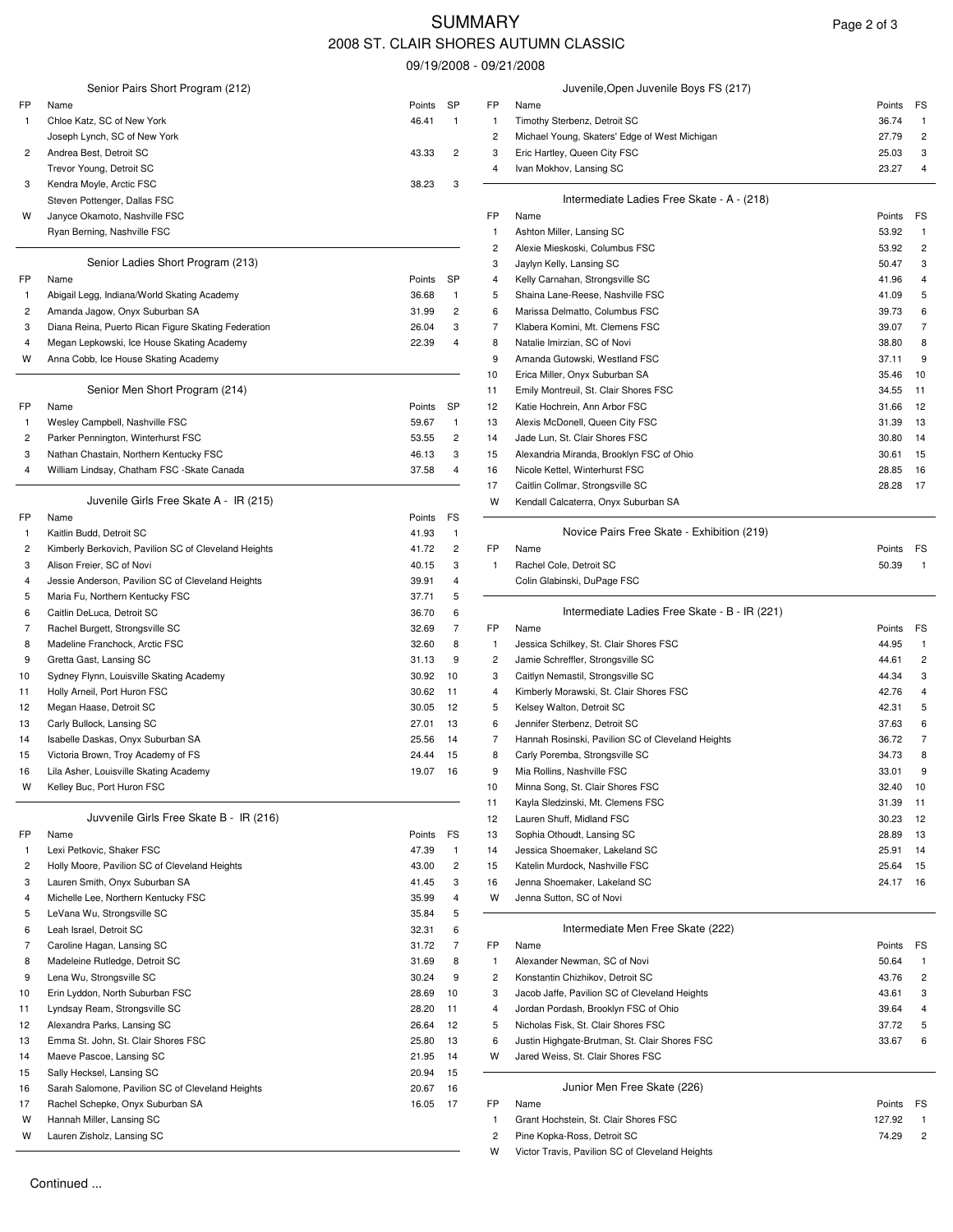# **SUMMARY** 2008 ST. CLAIR SHORES AUTUMN CLASSIC

09/19/2008 - 09/21/2008

|              | Senior Pairs Short Program (212)                                        |                |                                         |          | Juvenile, Open Juvenile Boys FS (217)                                              |                |          |
|--------------|-------------------------------------------------------------------------|----------------|-----------------------------------------|----------|------------------------------------------------------------------------------------|----------------|----------|
| FP           | Name                                                                    | Points         | SP                                      | FP       | Name                                                                               | Points         | FS       |
| -1           | Chloe Katz, SC of New York                                              | 46.41          | $\mathbf{1}$                            | 1        | Timothy Sterbenz, Detroit SC                                                       | 36.74          |          |
|              | Joseph Lynch, SC of New York                                            |                |                                         | 2        | Michael Young, Skaters' Edge of West Michigan                                      | 27.79          | 2        |
| 2            | Andrea Best, Detroit SC                                                 | 43.33          | $\overline{2}$                          | 3        | Eric Hartley, Queen City FSC                                                       | 25.03          | 3        |
|              | Trevor Young, Detroit SC                                                |                | 3                                       | 4        | Ivan Mokhov, Lansing SC                                                            | 23.27          | 4        |
| 3            | Kendra Moyle, Arctic FSC<br>Steven Pottenger, Dallas FSC                | 38.23          |                                         |          | Intermediate Ladies Free Skate - A - (218)                                         |                |          |
| w            | Janyce Okamoto, Nashville FSC                                           |                |                                         | FP       | Name                                                                               | Points         | FS       |
|              | Ryan Berning, Nashville FSC                                             |                |                                         | 1        | Ashton Miller, Lansing SC                                                          | 53.92          |          |
|              |                                                                         |                |                                         | 2        | Alexie Mieskoski, Columbus FSC                                                     | 53.92          | 2        |
|              | Senior Ladies Short Program (213)                                       |                |                                         | 3        | Jaylyn Kelly, Lansing SC                                                           | 50.47          | 3        |
| FP           | Name                                                                    | Points         | SP                                      | 4        | Kelly Carnahan, Strongsville SC                                                    | 41.96          |          |
| $\mathbf{1}$ | Abigail Legg, Indiana/World Skating Academy                             | 36.68          | 1                                       | 5        | Shaina Lane-Reese, Nashville FSC                                                   | 41.09          |          |
| 2            | Amanda Jagow, Onyx Suburban SA                                          | 31.99          | $\overline{c}$                          | 6        | Marissa Delmatto, Columbus FSC                                                     | 39.73          |          |
| 3            | Diana Reina, Puerto Rican Figure Skating Federation                     | 26.04          | 3                                       | 7        | Klabera Komini, Mt. Clemens FSC                                                    | 39.07          | 7        |
| 4            | Megan Lepkowski, Ice House Skating Academy                              | 22.39          | $\overline{4}$                          | 8        | Natalie Imirzian, SC of Novi                                                       | 38.80          | 8        |
| W            | Anna Cobb, Ice House Skating Academy                                    |                |                                         | 9        | Amanda Gutowski, Westland FSC                                                      | 37.11          | 9        |
|              |                                                                         |                |                                         | 10       | Erica Miller, Onyx Suburban SA                                                     | 35.46          | 10       |
|              | Senior Men Short Program (214)                                          |                |                                         | 11       | Emily Montreuil, St. Clair Shores FSC                                              | 34.55          | 11       |
| FP           | Name                                                                    | Points         | SP                                      | 12       | Katie Hochrein, Ann Arbor FSC                                                      | 31.66          | 12       |
| $\mathbf{1}$ | Wesley Campbell, Nashville FSC<br>Parker Pennington, Winterhurst FSC    | 59.67          | $\mathbf{1}$<br>$\overline{\mathbf{c}}$ | 13       | Alexis McDonell, Queen City FSC                                                    | 31.39          | 13<br>14 |
| 2<br>3       | Nathan Chastain, Northern Kentucky FSC                                  | 53.55<br>46.13 | 3                                       | 14<br>15 | Jade Lun, St. Clair Shores FSC<br>Alexandria Miranda, Brooklyn FSC of Ohio         | 30.80<br>30.61 | 15       |
| 4            | William Lindsay, Chatham FSC -Skate Canada                              | 37.58          | 4                                       | 16       | Nicole Kettel, Winterhurst FSC                                                     | 28.85          | 16       |
|              |                                                                         |                |                                         | 17       | Caitlin Collmar, Strongsville SC                                                   | 28.28          | 17       |
|              | Juvenile Girls Free Skate A - IR (215)                                  |                |                                         | W        | Kendall Calcaterra, Onyx Suburban SA                                               |                |          |
| FP           | Name                                                                    | Points         | FS                                      |          |                                                                                    |                |          |
| -1           | Kaitlin Budd, Detroit SC                                                | 41.93          | $\mathbf{1}$                            |          | Novice Pairs Free Skate - Exhibition (219)                                         |                |          |
| 2            | Kimberly Berkovich, Pavilion SC of Cleveland Heights                    | 41.72          | $\overline{c}$                          | FP       | Name                                                                               | Points         | FS       |
| 3            | Alison Freier, SC of Novi                                               | 40.15          | 3                                       | -1       | Rachel Cole, Detroit SC                                                            | 50.39          |          |
| 4            | Jessie Anderson, Pavilion SC of Cleveland Heights                       | 39.91          | 4                                       |          | Colin Glabinski, DuPage FSC                                                        |                |          |
| 5            | Maria Fu, Northern Kentucky FSC                                         | 37.71          | 5                                       |          |                                                                                    |                |          |
| 6            | Caitlin DeLuca, Detroit SC                                              | 36.70          | 6                                       |          | Intermediate Ladies Free Skate - B - IR (221)                                      |                |          |
| 7            | Rachel Burgett, Strongsville SC                                         | 32.69          | 7                                       | FP       | Name                                                                               | Points         | FS       |
| 8            | Madeline Franchock, Arctic FSC                                          | 32.60          | 8                                       | -1       | Jessica Schilkey, St. Clair Shores FSC                                             | 44.95          |          |
| 9            | Gretta Gast, Lansing SC                                                 | 31.13          | 9                                       | 2        | Jamie Schreffler, Strongsville SC                                                  | 44.61          | 2        |
| 10           | Sydney Flynn, Louisville Skating Academy                                | 30.92          | 10                                      | 3        | Caitlyn Nemastil, Strongsville SC                                                  | 44.34          | 3        |
| 11           | Holly Arneil, Port Huron FSC                                            | 30.62          | 11                                      | 4        | Kimberly Morawski, St. Clair Shores FSC                                            | 42.76          |          |
| 12           | Megan Haase, Detroit SC                                                 | 30.05          | 12                                      | 5        | Kelsey Walton, Detroit SC                                                          | 42.31          |          |
| 13           | Carly Bullock, Lansing SC                                               | 27.01          | 13<br>14                                | 6<br>7   | Jennifer Sterbenz, Detroit SC<br>Hannah Rosinski, Pavilion SC of Cleveland Heights | 37.63<br>36.72 |          |
| 14<br>15     | Isabelle Daskas, Onyx Suburban SA<br>Victoria Brown, Troy Academy of FS | 25.56<br>24.44 | - 15                                    | 8        | Carly Poremba, Strongsville SC                                                     | 34.73          | 8        |
| 16           | Lila Asher, Louisville Skating Academy                                  | 19.07          | -16                                     | 9        | Mia Rollins, Nashville FSC                                                         | 33.01          |          |
| W            | Kelley Buc, Port Huron FSC                                              |                |                                         | 10       | Minna Song, St. Clair Shores FSC                                                   | 32.40          | 10       |
|              |                                                                         |                |                                         | 11       | Kayla Sledzinski, Mt. Clemens FSC                                                  | 31.39          | 11       |
|              | Juvvenile Girls Free Skate B - IR (216)                                 |                |                                         | 12       | Lauren Shuff, Midland FSC                                                          | 30.23          | 12       |
| FP           | Name                                                                    | Points         | FS                                      | 13       | Sophia Othoudt, Lansing SC                                                         | 28.89          | 13       |
| -1           | Lexi Petkovic, Shaker FSC                                               | 47.39          | $\mathbf{1}$                            | 14       | Jessica Shoemaker, Lakeland SC                                                     | 25.91          | 14       |
| 2            | Holly Moore, Pavilion SC of Cleveland Heights                           | 43.00          | $\overline{\mathbf{c}}$                 | 15       | Katelin Murdock, Nashville FSC                                                     | 25.64          | 15       |
| 3            | Lauren Smith, Onyx Suburban SA                                          | 41.45          | 3                                       | 16       | Jenna Shoemaker, Lakeland SC                                                       | 24.17 16       |          |
| 4            | Michelle Lee, Northern Kentucky FSC                                     | 35.99          | 4                                       | W        | Jenna Sutton, SC of Novi                                                           |                |          |
| 5            | LeVana Wu, Strongsville SC                                              | 35.84          | 5                                       |          |                                                                                    |                |          |
| 6            | Leah Israel, Detroit SC                                                 | 32.31          | 6                                       |          | Intermediate Men Free Skate (222)                                                  |                |          |
| 7            | Caroline Hagan, Lansing SC                                              | 31.72          | 7                                       | FP       | Name                                                                               | Points         | FS       |
| 8            | Madeleine Rutledge, Detroit SC                                          | 31.69          | 8                                       | -1       | Alexander Newman, SC of Novi                                                       | 50.64          |          |
| 9            | Lena Wu, Strongsville SC                                                | 30.24          | 9                                       | 2        | Konstantin Chizhikov, Detroit SC                                                   | 43.76          | 2        |
| 10           | Erin Lyddon, North Suburban FSC                                         | 28.69          | 10                                      | 3        | Jacob Jaffe, Pavilion SC of Cleveland Heights                                      | 43.61          | 3        |
| 11           | Lyndsay Ream, Strongsville SC                                           | 28.20          | 11                                      | 4        | Jordan Pordash, Brooklyn FSC of Ohio                                               | 39.64          |          |
| 12           | Alexandra Parks, Lansing SC                                             | 26.64          | 12                                      | 5<br>6   | Nicholas Fisk, St. Clair Shores FSC                                                | 37.72          | 5<br>6   |
| 13<br>14     | Emma St. John, St. Clair Shores FSC<br>Maeve Pascoe, Lansing SC         | 25.80<br>21.95 | 13<br>14                                | w        | Justin Highgate-Brutman, St. Clair Shores FSC<br>Jared Weiss, St. Clair Shores FSC | 33.67          |          |
| 15           | Sally Hecksel, Lansing SC                                               | 20.94          | 15                                      |          |                                                                                    |                |          |
| 16           | Sarah Salomone, Pavilion SC of Cleveland Heights                        | 20.67          | 16                                      |          | Junior Men Free Skate (226)                                                        |                |          |
| 17           | Rachel Schepke, Onyx Suburban SA                                        | 16.05          | - 17                                    | FP       | Name                                                                               | Points         | FS       |
| W            | Hannah Miller, Lansing SC                                               |                |                                         | 1        | Grant Hochstein, St. Clair Shores FSC                                              | 127.92         |          |
| W            | Lauren Zisholz, Lansing SC                                              |                |                                         | 2        | Pine Kopka-Ross, Detroit SC                                                        | 74.29          | 2        |
|              |                                                                         |                |                                         |          |                                                                                    |                |          |

| Page 2 of 3 |  |
|-------------|--|
|-------------|--|

|              | Juvenile, Open Juvenile Boys FS (217)         |        |    |  |  |  |  |
|--------------|-----------------------------------------------|--------|----|--|--|--|--|
| =P           | Name                                          | Points | FS |  |  |  |  |
| $\mathbf{1}$ | Timothy Sterbenz, Detroit SC                  | 36.74  |    |  |  |  |  |
| $\mathbf{2}$ | Michael Young, Skaters' Edge of West Michigan | 27.79  | 2  |  |  |  |  |
| 3            | Eric Hartley, Queen City FSC                  | 25.03  | 3  |  |  |  |  |
| 4            | Ivan Mokhov, Lansing SC                       | 23.27  | 4  |  |  |  |  |
|              | Intermediate Ladies Free Skate - A - (218)    |        |    |  |  |  |  |

| ottenger, Dallas FSC                        |                |                |           | Intermediate Laures Fiee SKate - $A - (210)$ |           |                |
|---------------------------------------------|----------------|----------------|-----------|----------------------------------------------|-----------|----------------|
| kamoto, Nashville FSC                       |                |                | <b>FP</b> | Name                                         | Points FS |                |
| ning, Nashville FSC                         |                |                |           | Ashton Miller, Lansing SC                    | 53.92     |                |
|                                             |                |                |           | Alexie Mieskoski, Columbus FSC               | 53.92     | 2              |
| Senior Ladies Short Program (213)           |                |                | 3         | Jaylyn Kelly, Lansing SC                     | 50.47     | 3              |
|                                             | Points         | <b>SP</b>      | 4         | Kelly Carnahan, Strongsville SC              | 41.96     | $\overline{4}$ |
| egg, Indiana/World Skating Academy          | 36.68          |                | 5.        | Shaina Lane-Reese, Nashville FSC             | 41.09     | 5              |
| Jagow, Onyx Suburban SA                     | 31.99          | $\overline{2}$ | 6         | Marissa Delmatto, Columbus FSC               | 39.73     | 6              |
| ina, Puerto Rican Figure Skating Federation | 26.04          | 3              |           | Klabera Komini, Mt. Clemens FSC              | 39.07     | 7              |
| epkowski, Ice House Skating Academy         | 22.39          | 4              | 8         | Natalie Imirzian, SC of Novi                 | 38.80     | -8             |
| bb, Ice House Skating Academy               |                |                |           | Amanda Gutowski, Westland FSC                | 37.11     | 9              |
|                                             |                |                | 10        | Erica Miller, Onyx Suburban SA               | 35.46     | -10            |
| Senior Men Short Program (214)              |                |                | 11        | Emily Montreuil, St. Clair Shores FSC        | 34.55     | 11             |
|                                             | Points         | <b>SP</b>      | 12        | Katie Hochrein, Ann Arbor FSC                | 31.66     | -12            |
| ampbell, Nashville FSC                      | 59.67          |                | 13        | Alexis McDonell, Queen City FSC              | 31.39     | 13             |
| ennington, Winterhurst FSC                  | 53.55          | $\overline{2}$ | 14        | Jade Lun, St. Clair Shores FSC               | 30.80     | -14            |
| hastain, Northern Kentucky FSC              | 46.13          | 3              | 15        | Alexandria Miranda, Brooklyn FSC of Ohio     | 30.61     | -15            |
| indsay, Chatham FSC -Skate Canada           | 37.58          | $\overline{4}$ | 16        | Nicole Kettel, Winterhurst FSC               | 28.85     | 16             |
|                                             |                |                | 17        | Caitlin Collmar, Strongsville SC             | 28.28     | -17            |
| Juvenile Girls Free Skate A - IR (215)      |                |                | w         | Kendall Calcaterra, Onyx Suburban SA         |           |                |
|                                             | <b>P.A.</b> PO |                |           |                                              |           |                |

#### Novice Pairs Free Skate - Exhibition (219)

| <b>INOVICE Falls FIEE SKALE - EXHIDITION (219)</b> |        |    |
|----------------------------------------------------|--------|----|
| Name                                               | Points | FS |
| Rachel Cole, Detroit SC                            | 50.39  |    |
| Colin Glabinski, DuPage FSC                        |        |    |

#### Intermediate Ladies Free Skate - B - IR (221)

| urgett, Strongsville SC                 | 32.69  |     | FP. | Name                                              | Points FS |                |
|-----------------------------------------|--------|-----|-----|---------------------------------------------------|-----------|----------------|
| Franchock, Arctic FSC                   | 32.60  | 8   |     | Jessica Schilkey, St. Clair Shores FSC            | 44.95     |                |
| ıst, Lansing SC                         | 31.13  | 9   | 2   | Jamie Schreffler, Strongsville SC                 | 44.61     | $\overline{2}$ |
| lynn, Louisville Skating Academy        | 30.92  | 10  | 3   | Caitlyn Nemastil, Strongsville SC                 | 44.34     | 3              |
| eil, Port Huron FSC                     | 30.62  | 11  | 4   | Kimberly Morawski, St. Clair Shores FSC           | 42.76     | $\overline{4}$ |
| aase, Detroit SC                        | 30.05  | -12 | 5   | Kelsey Walton, Detroit SC                         | 42.31     | 5              |
| lock, Lansing SC                        | 27.01  | 13  | 6   | Jennifer Sterbenz, Detroit SC                     | 37.63     | 6              |
| )askas, Onyx Suburban SA                | 25.56  | 14  |     | Hannah Rosinski, Pavilion SC of Cleveland Heights | 36.72     | 7              |
| rown, Troy Academy of FS                | 24.44  | 15  | 8   | Carly Poremba, Strongsville SC                    | 34.73     | 8              |
| r, Louisville Skating Academy           | 19.07  | -16 | 9   | Mia Rollins, Nashville FSC                        | 33.01     | 9              |
| c, Port Huron FSC                       |        |     | 10  | Minna Song, St. Clair Shores FSC                  | 32.40     | 10             |
|                                         |        |     | 11  | Kayla Sledzinski, Mt. Clemens FSC                 | 31.39     | 11             |
| Juvvenile Girls Free Skate B - IR (216) |        |     | 12  | Lauren Shuff, Midland FSC                         | 30.23     | 12             |
|                                         | Points | FS  | 13  | Sophia Othoudt, Lansing SC                        | 28.89     | - 13           |
| ovic. Shaker FSC                        | 47.39  | -1  | 14  | Jessica Shoemaker, Lakeland SC                    | 25.91     | 14             |
| ore, Pavilion SC of Cleveland Heights   | 43.00  | 2   | 15  | Katelin Murdock, Nashville FSC                    | 25.64     | - 15           |
| mith, Onyx Suburban SA                  | 41.45  | 3   | 16  | Jenna Shoemaker, Lakeland SC                      | 24.17 16  |                |
| ee, Northern Kentucky FSC               | 35.99  | 4   | w   | Jenna Sutton, SC of Novi                          |           |                |
|                                         |        |     |     |                                                   |           |                |

#### Intermediate Men Free Skate (222)

|    | <b>INTERNATIONAL PROPERTY CONDUCTED</b>       |        |    |  |  |  |
|----|-----------------------------------------------|--------|----|--|--|--|
| FP | Name                                          | Points | FS |  |  |  |
|    | Alexander Newman, SC of Novi                  | 50.64  |    |  |  |  |
| 2  | Konstantin Chizhikov, Detroit SC              | 43.76  | 2  |  |  |  |
| 3  | Jacob Jaffe, Pavilion SC of Cleveland Heights | 43.61  | 3  |  |  |  |
| 4  | Jordan Pordash, Brooklyn FSC of Ohio          | 39.64  | 4  |  |  |  |
| 5  | Nicholas Fisk, St. Clair Shores FSC           | 37.72  | 5  |  |  |  |
| 6  | Justin Highgate-Brutman, St. Clair Shores FSC | 33.67  | 6  |  |  |  |
| w  | Jared Weiss, St. Clair Shores FSC             |        |    |  |  |  |
|    | Junior Men Free Skate (226)                   |        |    |  |  |  |

# Grant Hochstein, St. Clair Shores FSC 127.92 1 W Lauren Zisholz, Lansing SC 2 Pine Kopka-Ross, Detroit SC 74.29 2

W Victor Travis, Pavilion SC of Cleveland Heights